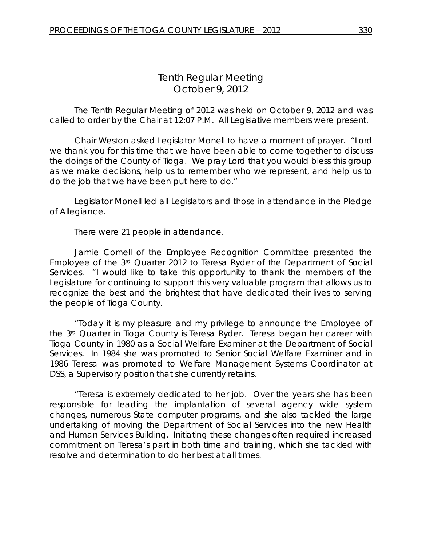The Tenth Regular Meeting of 2012 was held on October 9, 2012 and was called to order by the Chair at 12:07 P.M. All Legislative members were present.

Chair Weston asked Legislator Monell to have a moment of prayer. "Lord we thank you for this time that we have been able to come together to discuss the doings of the County of Tioga. We pray Lord that you would bless this group as we make decisions, help us to remember who we represent, and help us to do the job that we have been put here to do."

Legislator Monell led all Legislators and those in attendance in the Pledge of Allegiance.

There were 21 people in attendance.

Jamie Cornell of the Employee Recognition Committee presented the Employee of the 3rd Quarter 2012 to Teresa Ryder of the Department of Social Services. "I would like to take this opportunity to thank the members of the Legislature for continuing to support this very valuable program that allows us to recognize the best and the brightest that have dedicated their lives to serving the people of Tioga County.

"Today it is my pleasure and my privilege to announce the Employee of the 3rd Quarter in Tioga County is Teresa Ryder. Teresa began her career with Tioga County in 1980 as a Social Welfare Examiner at the Department of Social Services. In 1984 she was promoted to Senior Social Welfare Examiner and in 1986 Teresa was promoted to Welfare Management Systems Coordinator at DSS, a Supervisory position that she currently retains.

"Teresa is extremely dedicated to her job. Over the years she has been responsible for leading the implantation of several agency wide system changes, numerous State computer programs, and she also tackled the large undertaking of moving the Department of Social Services into the new Health and Human Services Building. Initiating these changes often required increased commitment on Teresa's part in both time and training, which she tackled with resolve and determination to do her best at all times.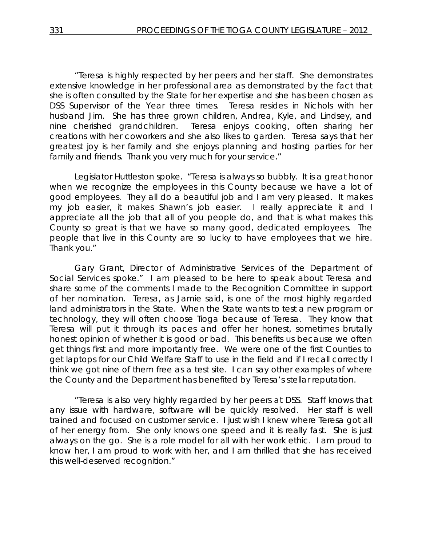"Teresa is highly respected by her peers and her staff. She demonstrates extensive knowledge in her professional area as demonstrated by the fact that she is often consulted by the State for her expertise and she has been chosen as DSS Supervisor of the Year three times. Teresa resides in Nichols with her husband Jim. She has three grown children, Andrea, Kyle, and Lindsey, and nine cherished grandchildren. Teresa enjoys cooking, often sharing her creations with her coworkers and she also likes to garden. Teresa says that her greatest joy is her family and she enjoys planning and hosting parties for her family and friends. Thank you very much for your service."

Legislator Huttleston spoke. "Teresa is always so bubbly. It is a great honor when we recognize the employees in this County because we have a lot of good employees. They all do a beautiful job and I am very pleased. It makes my job easier, it makes Shawn's job easier. I really appreciate it and I appreciate all the job that all of you people do, and that is what makes this County so great is that we have so many good, dedicated employees. The people that live in this County are so lucky to have employees that we hire. Thank you."

Gary Grant, Director of Administrative Services of the Department of Social Services spoke." I am pleased to be here to speak about Teresa and share some of the comments I made to the Recognition Committee in support of her nomination. Teresa, as Jamie said, is one of the most highly regarded land administrators in the State. When the State wants to test a new program or technology, they will often choose Tioga because of Teresa. They know that Teresa will put it through its paces and offer her honest, sometimes brutally honest opinion of whether it is good or bad. This benefits us because we often get things first and more importantly free. We were one of the first Counties to get laptops for our Child Welfare Staff to use in the field and if I recall correctly I think we got nine of them free as a test site. I can say other examples of where the County and the Department has benefited by Teresa's stellar reputation.

"Teresa is also very highly regarded by her peers at DSS. Staff knows that any issue with hardware, software will be quickly resolved. Her staff is well trained and focused on customer service. I just wish I knew where Teresa got all of her energy from. She only knows one speed and it is really fast. She is just always on the go. She is a role model for all with her work ethic. I am proud to know her, I am proud to work with her, and I am thrilled that she has received this well-deserved recognition."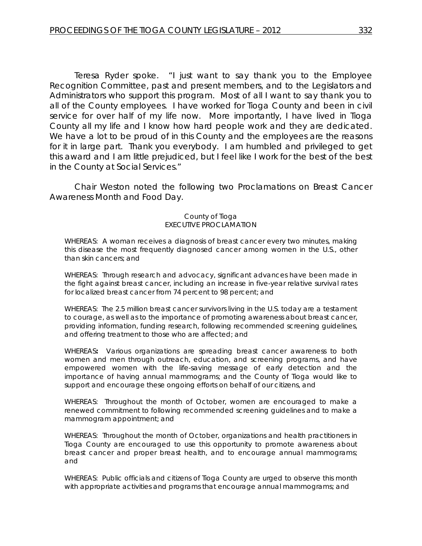Teresa Ryder spoke. "I just want to say thank you to the Employee Recognition Committee, past and present members, and to the Legislators and Administrators who support this program. Most of all I want to say thank you to all of the County employees. I have worked for Tioga County and been in civil service for over half of my life now. More importantly, I have lived in Tioga County all my life and I know how hard people work and they are dedicated. We have a lot to be proud of in this County and the employees are the reasons for it in large part. Thank you everybody. I am humbled and privileged to get this award and I am little prejudiced, but I feel like I work for the best of the best in the County at Social Services."

Chair Weston noted the following two Proclamations on Breast Cancer Awareness Month and Food Day.

#### County of Tioga EXECUTIVE PROCLAMATION

WHEREAS: A woman receives a diagnosis of breast cancer every two minutes, making this disease the most frequently diagnosed cancer among women in the U.S., other than skin cancers; and

WHEREAS: Through research and advocacy, significant advances have been made in the fight against breast cancer, including an increase in five-year relative survival rates for localized breast cancer from 74 percent to 98 percent; and

WHEREAS: The 2.5 million breast cancer survivors living in the U.S. today are a testament to courage, as well as to the importance of promoting awareness about breast cancer, providing information, funding research, following recommended screening guidelines, and offering treatment to those who are affected; and

WHEREAS**:** Various organizations are spreading breast cancer awareness to both women and men through outreach, education, and screening programs, and have empowered women with the life-saving message of early detection and the importance of having annual mammograms; and the County of Tioga would like to support and encourage these ongoing efforts on behalf of our citizens, and

WHEREAS: Throughout the month of October, women are encouraged to make a renewed commitment to following recommended screening guidelines and to make a mammogram appointment; and

WHEREAS: Throughout the month of October, organizations and health practitioners in Tioga County are encouraged to use this opportunity to promote awareness about breast cancer and proper breast health, and to encourage annual mammograms; and

WHEREAS: Public officials and citizens of Tioga County are urged to observe this month with appropriate activities and programs that encourage annual mammograms; and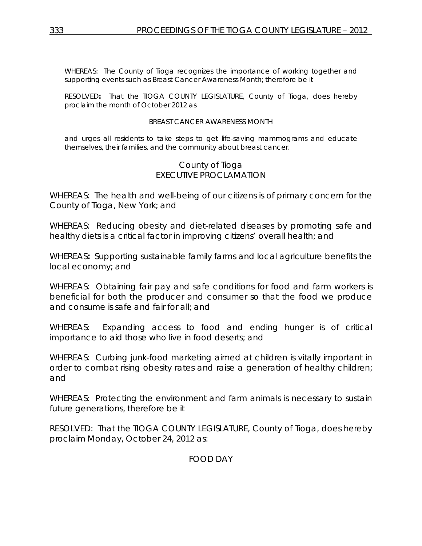WHEREAS: The County of Tioga recognizes the importance of working together and supporting events such as Breast Cancer Awareness Month; therefore be it

RESOLVED**:** That the TIOGA COUNTY LEGISLATURE, County of Tioga, does hereby proclaim the month of October 2012 as

#### BREAST CANCER AWARENESS MONTH

and urges all residents to take steps to get life-saving mammograms and educate themselves, their families, and the community about breast cancer.

## County of Tioga EXECUTIVE PROCLAMATION

WHEREAS: The health and well-being of our citizens is of primary concern for the County of Tioga, New York; and

WHEREAS: Reducing obesity and diet-related diseases by promoting safe and healthy diets is a critical factor in improving citizens' overall health; and

WHEREAS**:** Supporting sustainable family farms and local agriculture benefits the local economy; and

WHEREAS: Obtaining fair pay and safe conditions for food and farm workers is beneficial for both the producer and consumer so that the food we produce and consume is safe and fair for all; and

WHEREAS: Expanding access to food and ending hunger is of critical importance to aid those who live in food deserts; and

WHEREAS: Curbing junk-food marketing aimed at children is vitally important in order to combat rising obesity rates and raise a generation of healthy children; and

WHEREAS: Protecting the environment and farm animals is necessary to sustain future generations, therefore be it

RESOLVED: That the TIOGA COUNTY LEGISLATURE, County of Tioga, does hereby proclaim Monday, October 24, 2012 as:

FOOD DAY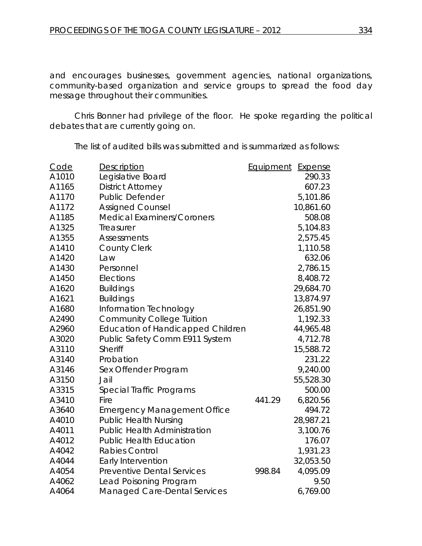and encourages businesses, government agencies, national organizations, community-based organization and service groups to spread the food day message throughout their communities.

Chris Bonner had privilege of the floor. He spoke regarding the political debates that are currently going on.

The list of audited bills was submitted and is summarized as follows:

| Code  | Description                              | Equipment | <b>Expense</b> |
|-------|------------------------------------------|-----------|----------------|
| A1010 | Legislative Board                        |           | 290.33         |
| A1165 | <b>District Attorney</b>                 |           | 607.23         |
| A1170 | <b>Public Defender</b>                   |           | 5,101.86       |
| A1172 | <b>Assigned Counsel</b>                  |           | 10,861.60      |
| A1185 | <b>Medical Examiners/Coroners</b>        |           | 508.08         |
| A1325 | Treasurer                                |           | 5,104.83       |
| A1355 | <b>Assessments</b>                       |           | 2,575.45       |
| A1410 | <b>County Clerk</b>                      |           | 1,110.58       |
| A1420 | Law                                      |           | 632.06         |
| A1430 | Personnel                                |           | 2,786.15       |
| A1450 | Elections                                |           | 8,408.72       |
| A1620 | <b>Buildings</b>                         |           | 29,684.70      |
| A1621 | <b>Buildings</b>                         |           | 13,874.97      |
| A1680 | Information Technology                   |           | 26,851.90      |
| A2490 | <b>Community College Tuition</b>         |           | 1,192.33       |
| A2960 | <b>Education of Handicapped Children</b> |           | 44,965.48      |
| A3020 | Public Safety Comm E911 System           |           | 4,712.78       |
| A3110 | Sheriff                                  |           | 15,588.72      |
| A3140 | Probation                                |           | 231.22         |
| A3146 | Sex Offender Program                     |           | 9,240.00       |
| A3150 | Jail                                     |           | 55,528.30      |
| A3315 | Special Traffic Programs                 |           | 500.00         |
| A3410 | Fire                                     | 441.29    | 6,820.56       |
| A3640 | <b>Emergency Management Office</b>       |           | 494.72         |
| A4010 | <b>Public Health Nursing</b>             |           | 28,987.21      |
| A4011 | Public Health Administration             |           | 3,100.76       |
| A4012 | <b>Public Health Education</b>           |           | 176.07         |
| A4042 | <b>Rabies Control</b>                    |           | 1,931.23       |
| A4044 | Early Intervention                       |           | 32,053.50      |
| A4054 | <b>Preventive Dental Services</b>        | 998.84    | 4,095.09       |
| A4062 | Lead Poisoning Program                   |           | 9.50           |
| A4064 | <b>Managed Care-Dental Services</b>      |           | 6,769.00       |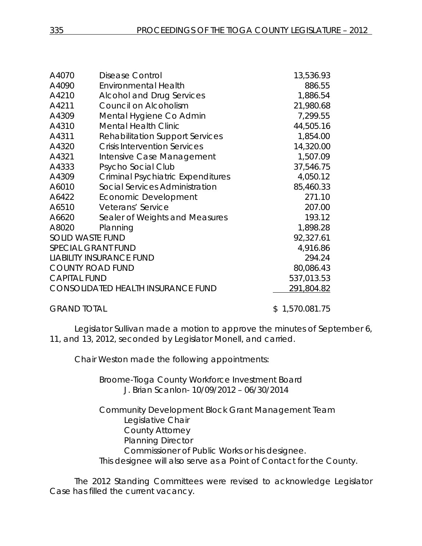| A4070                                                   | <b>Disease Control</b>                   | 13,536.93  |
|---------------------------------------------------------|------------------------------------------|------------|
| A4090                                                   | <b>Environmental Health</b>              | 886.55     |
| A4210                                                   | <b>Alcohol and Drug Services</b>         | 1,886.54   |
| A4211                                                   | Council on Alcoholism                    | 21,980.68  |
| A4309                                                   | Mental Hygiene Co Admin                  | 7,299.55   |
| A4310                                                   | <b>Mental Health Clinic</b>              | 44,505.16  |
| A4311                                                   | <b>Rehabilitation Support Services</b>   | 1,854.00   |
| A4320                                                   | <b>Crisis Intervention Services</b>      | 14,320.00  |
| A4321                                                   | Intensive Case Management                | 1,507.09   |
| A4333                                                   | Psycho Social Club                       | 37,546.75  |
| A4309                                                   | <b>Criminal Psychiatric Expenditures</b> | 4,050.12   |
| A6010                                                   | Social Services Administration           | 85,460.33  |
| A6422                                                   | Economic Development                     | 271.10     |
| A6510                                                   | Veterans' Service                        | 207.00     |
| A6620                                                   | Sealer of Weights and Measures           | 193.12     |
| A8020                                                   | Planning                                 | 1,898.28   |
| <b>SOLID WASTE FUND</b>                                 | 92,327.61                                |            |
| <b>SPECIAL GRANT FUND</b>                               |                                          |            |
| <b>LIABILITY INSURANCE FUND</b>                         |                                          | 294.24     |
| <b>COUNTY ROAD FUND</b>                                 |                                          | 80,086.43  |
| <b>CAPITAL FUND</b>                                     |                                          | 537,013.53 |
| <b>CONSOLIDATED HEALTH INSURANCE FUND</b><br>291,804.82 |                                          |            |
|                                                         |                                          |            |

GRAND TOTAL \$1,570.081.75

Legislator Sullivan made a motion to approve the minutes of September 6, 11, and 13, 2012, seconded by Legislator Monell, and carried.

Chair Weston made the following appointments:

Broome-Tioga County Workforce Investment Board J. Brian Scanlon- 10/09/2012 – 06/30/2014

Community Development Block Grant Management Team Legislative Chair County Attorney Planning Director Commissioner of Public Works or his designee. This designee will also serve as a Point of Contact for the County.

The 2012 Standing Committees were revised to acknowledge Legislator Case has filled the current vacancy.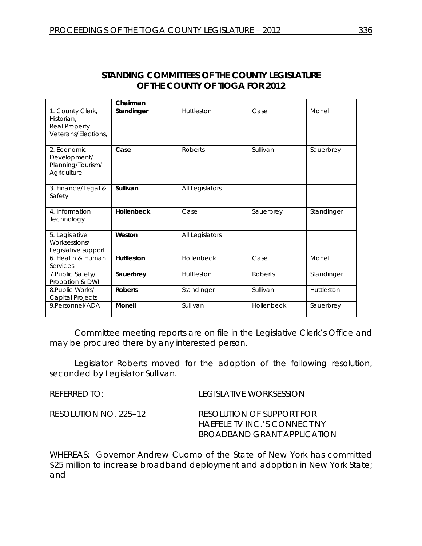# *STANDING COMMITTEES OF THE COUNTY LEGISLATURE OF THE COUNTY OF TIOGA FOR 2012*

|                                                                        | Chairman          |                 |                |            |
|------------------------------------------------------------------------|-------------------|-----------------|----------------|------------|
| 1. County Clerk,<br>Historian.<br>Real Property<br>Veterans/Elections, | Standinger        | Huttleston      | Case           | Monell     |
| 2. Economic<br>Development/<br>Planning/Tourism/<br>Agriculture        | Case              | <b>Roberts</b>  | Sullivan       | Sauerbrey  |
| 3. Finance/Legal &<br>Safety                                           | Sullivan          | All Legislators |                |            |
| 4. Information<br>Technology                                           | <b>Hollenbeck</b> | Case            | Sauerbrey      | Standinger |
| 5. Legislative<br>Worksessions/<br>Legislative support                 | Weston            | All Legislators |                |            |
| 6. Health & Human<br>Services                                          | <b>Huttleston</b> | Hollenbeck      | Case           | Monell     |
| 7. Public Safety/<br>Probation & DWI                                   | Sauerbrey         | Huttleston      | <b>Roberts</b> | Standinger |
| 8. Public Works/<br>Capital Projects                                   | <b>Roberts</b>    | Standinger      | Sullivan       | Huttleston |
| 9.Personnel/ADA                                                        | <b>Monell</b>     | Sullivan        | Hollenbeck     | Sauerbrey  |

Committee meeting reports are on file in the Legislative Clerk's Office and may be procured there by any interested person.

Legislator Roberts moved for the adoption of the following resolution, seconded by Legislator Sullivan.

REFERRED TO: LEGISLATIVE WORKSESSION RESOLUTION NO. 225–12 *RESOLUTION OF SUPPORT FOR HAEFELE TV INC.'S CONNECT NY BROADBAND GRANT APPLICATION*

WHEREAS: Governor Andrew Cuomo of the State of New York has committed \$25 million to increase broadband deployment and adoption in New York State; and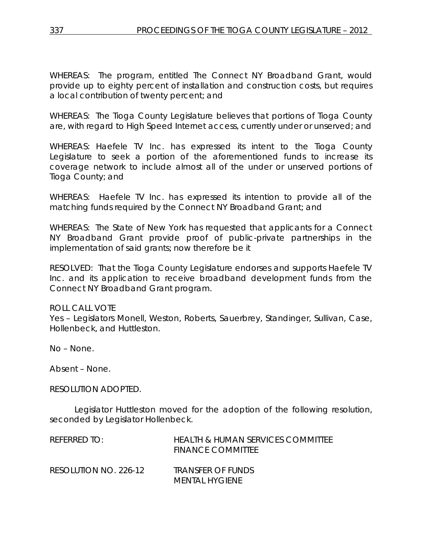WHEREAS: The program, entitled The Connect NY Broadband Grant, would provide up to eighty percent of installation and construction costs, but requires a local contribution of twenty percent; and

WHEREAS: The Tioga County Legislature believes that portions of Tioga County are, with regard to High Speed Internet access, currently under or unserved; and

WHEREAS: Haefele TV Inc. has expressed its intent to the Tioga County Legislature to seek a portion of the aforementioned funds to increase its coverage network to include almost all of the under or unserved portions of Tioga County; and

WHEREAS: Haefele TV Inc. has expressed its intention to provide all of the matching funds required by the Connect NY Broadband Grant; and

WHEREAS: The State of New York has requested that applicants for a Connect NY Broadband Grant provide proof of public-private partnerships in the implementation of said grants; now therefore be it

RESOLVED: That the Tioga County Legislature endorses and supports Haefele TV Inc. and its application to receive broadband development funds from the Connect NY Broadband Grant program.

# ROLL CALL VOTE

Yes – Legislators Monell, Weston, Roberts, Sauerbrey, Standinger, Sullivan, Case, Hollenbeck, and Huttleston.

No – None.

Absent – None.

RESOLUTION ADOPTED.

Legislator Huttleston moved for the adoption of the following resolution, seconded by Legislator Hollenbeck.

| REFERRED TO:          | HEALIH & HUMAN SERVICES COMMITTEE<br><b>FINANCE COMMITTEE</b> |
|-----------------------|---------------------------------------------------------------|
| RESOLUTION NO. 226-12 | TRANSFER OF FUNDS<br>MENTAL HYGIENE                           |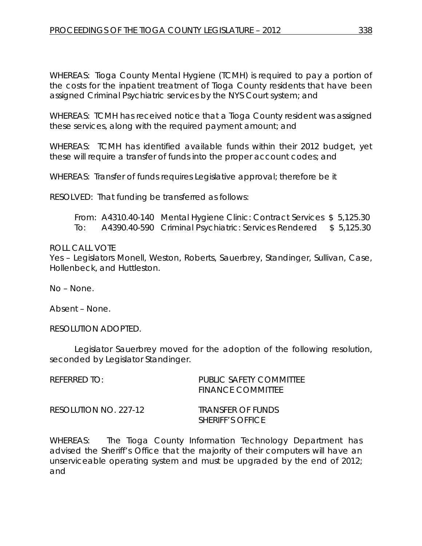WHEREAS: Tioga County Mental Hygiene (TCMH) is required to pay a portion of the costs for the inpatient treatment of Tioga County residents that have been assigned Criminal Psychiatric services by the NYS Court system; and

WHEREAS: TCMH has received notice that a Tioga County resident was assigned these services, along with the required payment amount; and

WHEREAS: TCMH has identified available funds within their 2012 budget, yet these will require a transfer of funds into the proper account codes; and

WHEREAS: Transfer of funds requires Legislative approval; therefore be it

RESOLVED: That funding be transferred as follows:

From: A4310.40-140 Mental Hygiene Clinic: Contract Services \$ 5,125.30 To: A4390.40-590 Criminal Psychiatric: Services Rendered \$ 5,125.30

## ROLL CALL VOTE

Yes – Legislators Monell, Weston, Roberts, Sauerbrey, Standinger, Sullivan, Case, Hollenbeck, and Huttleston.

No – None.

Absent – None.

RESOLUTION ADOPTED.

Legislator Sauerbrey moved for the adoption of the following resolution, seconded by Legislator Standinger.

| REFERRED TO:          | PUBLIC SAFETY COMMITTEE<br><b>FINANCE COMMITTEE</b> |
|-----------------------|-----------------------------------------------------|
| RESOLUTION NO. 227-12 | TRANSFER OF FUNDS<br><b>SHERIFF'S OFFICE</b>        |

WHEREAS: The Tioga County Information Technology Department has advised the Sheriff's Office that the majority of their computers will have an unserviceable operating system and must be upgraded by the end of 2012; and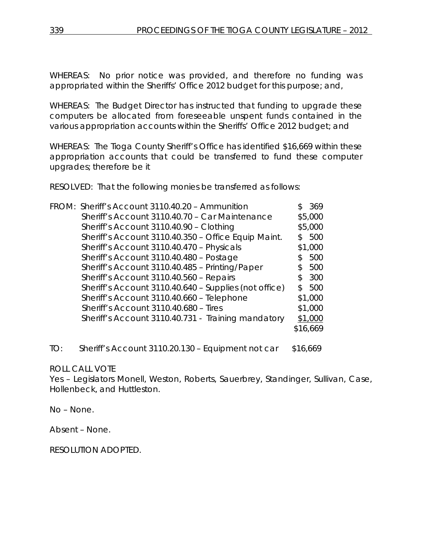WHEREAS: No prior notice was provided, and therefore no funding was appropriated within the Sheriffs' Office 2012 budget for this purpose; and,

WHEREAS: The Budget Director has instructed that funding to upgrade these computers be allocated from foreseeable unspent funds contained in the various appropriation accounts within the Sheriffs' Office 2012 budget; and

WHEREAS: The Tioga County Sheriff's Office has identified \$16,669 within these appropriation accounts that could be transferred to fund these computer upgrades; therefore be it

RESOLVED: That the following monies be transferred as follows:

| FROM: Sheriff's Account 3110.40.20 - Ammunition       |    | 369      |
|-------------------------------------------------------|----|----------|
| Sheriff's Account 3110.40.70 - Car Maintenance        |    | \$5,000  |
| Sheriff's Account 3110.40.90 - Clothing               |    | \$5,000  |
| Sheriff's Account 3110.40.350 - Office Equip Maint.   |    | 500      |
| Sheriff's Account 3110.40.470 - Physicals             |    | \$1,000  |
| Sheriff's Account 3110.40.480 - Postage               |    | 500      |
| Sheriff's Account 3110.40.485 - Printing/Paper        | S. | 500      |
| Sheriff's Account 3110.40.560 - Repairs               | S. | 300      |
| Sheriff's Account 3110.40.640 - Supplies (not office) | S. | 500      |
| Sheriff's Account 3110.40.660 - Telephone             |    | \$1,000  |
| Sheriff's Account 3110.40.680 - Tires                 |    | \$1,000  |
| Sheriff's Account 3110.40.731 - Training mandatory    |    | \$1,000  |
|                                                       |    | \$16,669 |
|                                                       |    |          |

TO: Sheriff's Account 3110.20.130 – Equipment not car \$16,669

# ROLL CALL VOTE

Yes – Legislators Monell, Weston, Roberts, Sauerbrey, Standinger, Sullivan, Case, Hollenbeck, and Huttleston.

No – None.

Absent – None.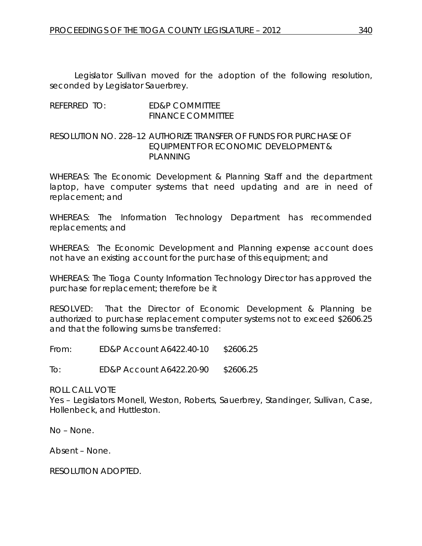Legislator Sullivan moved for the adoption of the following resolution, seconded by Legislator Sauerbrey.

REFERRED TO: ED&P COMMITTEE FINANCE COMMITTEE

## RESOLUTION NO. 228–12 *AUTHORIZE TRANSFER OF FUNDS FOR PURCHASE OF EQUIPMENT FOR ECONOMIC DEVELOPMENT & PLANNING*

WHEREAS: The Economic Development & Planning Staff and the department laptop, have computer systems that need updating and are in need of replacement; and

WHEREAS: The Information Technology Department has recommended replacements; and

WHEREAS: The Economic Development and Planning expense account does not have an existing account for the purchase of this equipment; and

WHEREAS: The Tioga County Information Technology Director has approved the purchase for replacement; therefore be it

RESOLVED: That the Director of Economic Development & Planning be authorized to purchase replacement computer systems not to exceed \$2606.25 and that the following sums be transferred:

From: ED&P Account A6422.40-10 \$2606.25

To: ED&P Account A6422.20-90 \$2606.25

ROLL CALL VOTE

Yes – Legislators Monell, Weston, Roberts, Sauerbrey, Standinger, Sullivan, Case, Hollenbeck, and Huttleston.

No – None.

Absent – None.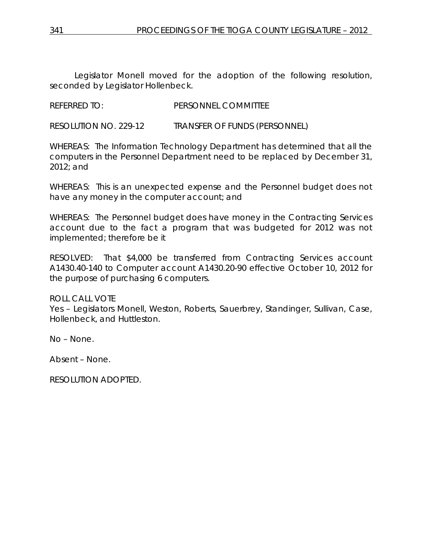Legislator Monell moved for the adoption of the following resolution, seconded by Legislator Hollenbeck.

REFERRED TO: PERSONNEL COMMITTEE

RESOLUTION NO. 229-12 *TRANSFER OF FUNDS (PERSONNEL)*

WHEREAS: The Information Technology Department has determined that all the computers in the Personnel Department need to be replaced by December 31, 2012; and

WHEREAS: This is an unexpected expense and the Personnel budget does not have any money in the computer account; and

WHEREAS: The Personnel budget does have money in the Contracting Services account due to the fact a program that was budgeted for 2012 was not implemented; therefore be it

RESOLVED: That \$4,000 be transferred from Contracting Services account A1430.40-140 to Computer account A1430.20-90 effective October 10, 2012 for the purpose of purchasing 6 computers.

# ROLL CALL VOTE

Yes – Legislators Monell, Weston, Roberts, Sauerbrey, Standinger, Sullivan, Case, Hollenbeck, and Huttleston.

No – None.

Absent – None.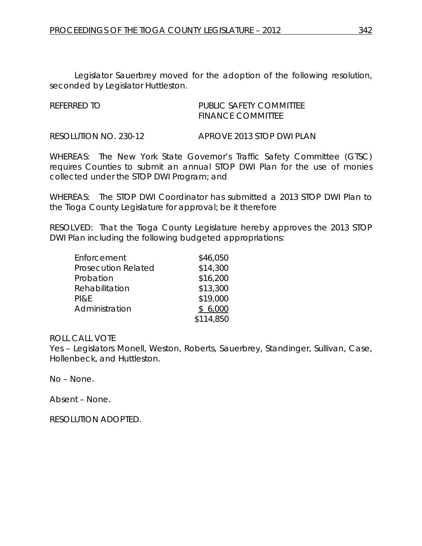Legislator Sauerbrey moved for the adoption of the following resolution, seconded by Legislator Huttleston.

| REFERRED TO |  |
|-------------|--|
|-------------|--|

PUBLIC SAFETY COMMITTEE FINANCE COMMITTEE

RESOLUTION NO. 230-12 *APROVE 2013 STOP DWI PLAN*

WHEREAS: The New York State Governor's Traffic Safety Committee (GTSC) requires Counties to submit an annual STOP DWI Plan for the use of monies collected under the STOP DWI Program; and

WHEREAS: The STOP DWI Coordinator has submitted a 2013 STOP DWI Plan to the Tioga County Legislature for approval; be it therefore

RESOLVED: That the Tioga County Legislature hereby approves the 2013 STOP DWI Plan including the following budgeted appropriations:

| Enforcement                | \$46,050  |
|----------------------------|-----------|
| <b>Prosecution Related</b> | \$14,300  |
| Probation                  | \$16,200  |
| Rehabilitation             | \$13,300  |
| PI&E                       | \$19,000  |
| Administration             | \$6,000   |
|                            | \$114,850 |

## ROLL CALL VOTE

Yes – Legislators Monell, Weston, Roberts, Sauerbrey, Standinger, Sullivan, Case, Hollenbeck, and Huttleston.

No – None.

Absent – None.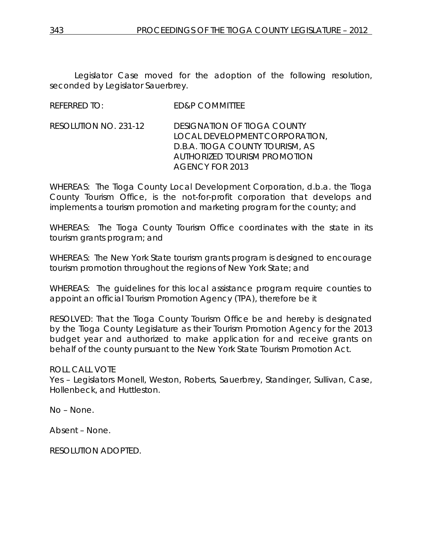Legislator Case moved for the adoption of the following resolution, seconded by Legislator Sauerbrey.

REFERRED TO: ED&P COMMITTEE

RESOLUTION NO. 231-12 *DESIGNATION OF TIOGA COUNTY LOCAL DEVELOPMENT CORPORATION, D.B.A. TIOGA COUNTY TOURISM, AS AUTHORIZED TOURISM PROMOTION AGENCY FOR 2013*

WHEREAS: The Tioga County Local Development Corporation, d.b.a. the Tioga County Tourism Office, is the not-for-profit corporation that develops and implements a tourism promotion and marketing program for the county; and

WHEREAS: The Tioga County Tourism Office coordinates with the state in its tourism grants program; and

WHEREAS: The New York State tourism grants program is designed to encourage tourism promotion throughout the regions of New York State; and

WHEREAS: The guidelines for this local assistance program require counties to appoint an official Tourism Promotion Agency (TPA), therefore be it

RESOLVED: That the Tioga County Tourism Office be and hereby is designated by the Tioga County Legislature as their Tourism Promotion Agency for the 2013 budget year and authorized to make application for and receive grants on behalf of the county pursuant to the New York State Tourism Promotion Act.

ROLL CALL VOTE

Yes – Legislators Monell, Weston, Roberts, Sauerbrey, Standinger, Sullivan, Case, Hollenbeck, and Huttleston.

No – None.

Absent – None.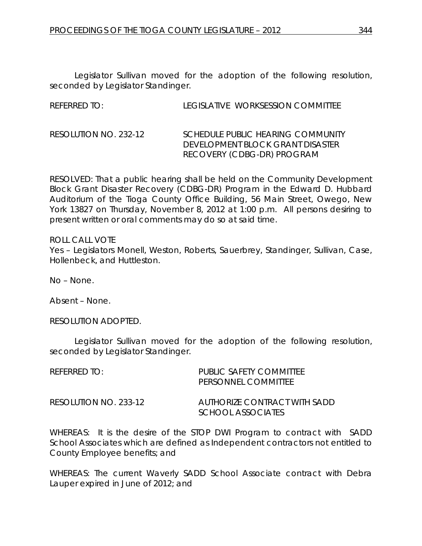Legislator Sullivan moved for the adoption of the following resolution, seconded by Legislator Standinger.

| REFERRED TO:          | LEGISLATIVE WORKSESSION COMMITTEE                                                                          |
|-----------------------|------------------------------------------------------------------------------------------------------------|
| RESOLUTION NO. 232-12 | SCHEDULE PUBLIC HEARING COMMUNITY<br>DEVELOPMENT BLOCK GRANT DISASTER<br><b>RECOVERY (CDBG-DR) PROGRAM</b> |

RESOLVED: That a public hearing shall be held on the Community Development Block Grant Disaster Recovery (CDBG-DR) Program in the Edward D. Hubbard Auditorium of the Tioga County Office Building, 56 Main Street, Owego, New York 13827 on Thursday, November 8, 2012 at 1:00 p.m. All persons desiring to present written or oral comments may do so at said time.

#### ROLL CALL VOTE

Yes – Legislators Monell, Weston, Roberts, Sauerbrey, Standinger, Sullivan, Case, Hollenbeck, and Huttleston.

No – None.

Absent – None.

RESOLUTION ADOPTED.

Legislator Sullivan moved for the adoption of the following resolution, seconded by Legislator Standinger.

| REFERRED TO:          | PUBLIC SAFFTY COMMITTEE<br>PERSONNEL COMMITTEE    |
|-----------------------|---------------------------------------------------|
| RESOLUTION NO. 233-12 | AUTHORIZE CONTRACT WITH SADD<br>SCHOOL ASSOCIATES |

WHEREAS: It is the desire of the STOP DWI Program to contract with SADD School Associates which are defined as Independent contractors not entitled to County Employee benefits; and

WHEREAS: The current Waverly SADD School Associate contract with Debra Lauper expired in June of 2012; and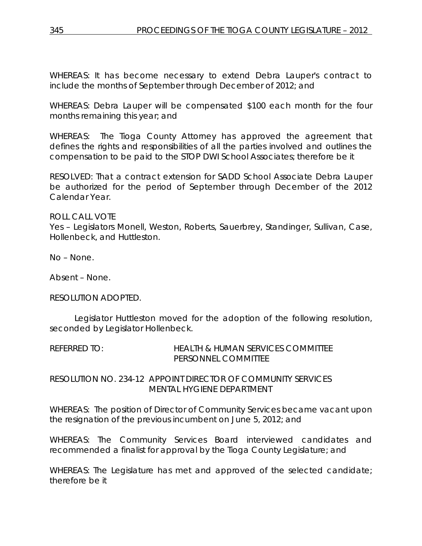WHEREAS: It has become necessary to extend Debra Lauper's contract to include the months of September through December of 2012; and

WHEREAS: Debra Lauper will be compensated \$100 each month for the four months remaining this year; and

WHEREAS: The Tioga County Attorney has approved the agreement that defines the rights and responsibilities of all the parties involved and outlines the compensation to be paid to the STOP DWI School Associates; therefore be it

RESOLVED: That a contract extension for SADD School Associate Debra Lauper be authorized for the period of September through December of the 2012 Calendar Year.

ROLL CALL VOTE

Yes – Legislators Monell, Weston, Roberts, Sauerbrey, Standinger, Sullivan, Case, Hollenbeck, and Huttleston.

No – None.

Absent – None.

RESOLUTION ADOPTED.

Legislator Huttleston moved for the adoption of the following resolution, seconded by Legislator Hollenbeck.

REFERRED TO: HEALTH & HUMAN SERVICES COMMITTEE PERSONNEL COMMITTEE

RESOLUTION NO. 234-12 *APPOINT DIRECTOR OF COMMUNITY SERVICES MENTAL HYGIENE DEPARTMENT*

WHEREAS: The position of Director of Community Services became vacant upon the resignation of the previous incumbent on June 5, 2012; and

WHEREAS: The Community Services Board interviewed candidates and recommended a finalist for approval by the Tioga County Legislature; and

WHEREAS: The Legislature has met and approved of the selected candidate; therefore be it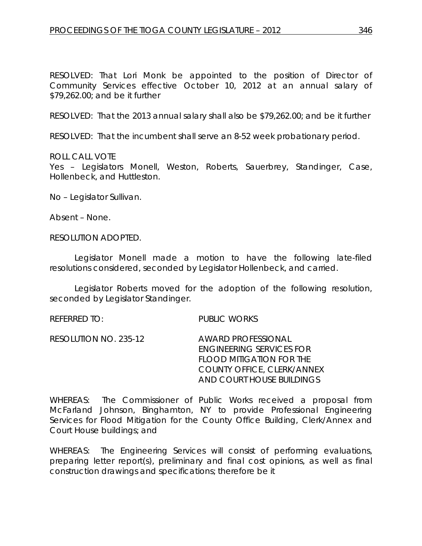RESOLVED: That Lori Monk be appointed to the position of Director of Community Services effective October 10, 2012 at an annual salary of \$79,262.00; and be it further

RESOLVED: That the 2013 annual salary shall also be \$79,262.00; and be it further

RESOLVED: That the incumbent shall serve an 8-52 week probationary period.

# ROLL CALL VOTE

Yes – Legislators Monell, Weston, Roberts, Sauerbrey, Standinger, Case, Hollenbeck, and Huttleston.

No – Legislator Sullivan.

Absent – None.

RESOLUTION ADOPTED.

Legislator Monell made a motion to have the following late-filed resolutions considered, seconded by Legislator Hollenbeck, and carried.

Legislator Roberts moved for the adoption of the following resolution, seconded by Legislator Standinger.

REFERRED TO: PUBLIC WORKS

RESOLUTION NO. 235-12 *AWARD PROFESSIONAL* 

*ENGINEERING SERVICES FOR FLOOD MITIGATION FOR THE COUNTY OFFICE, CLERK/ANNEX AND COURT HOUSE BUILDINGS*

WHEREAS: The Commissioner of Public Works received a proposal from McFarland Johnson, Binghamton, NY to provide Professional Engineering Services for Flood Mitigation for the County Office Building, Clerk/Annex and Court House buildings; and

WHEREAS: The Engineering Services will consist of performing evaluations, preparing letter report(s), preliminary and final cost opinions, as well as final construction drawings and specifications; therefore be it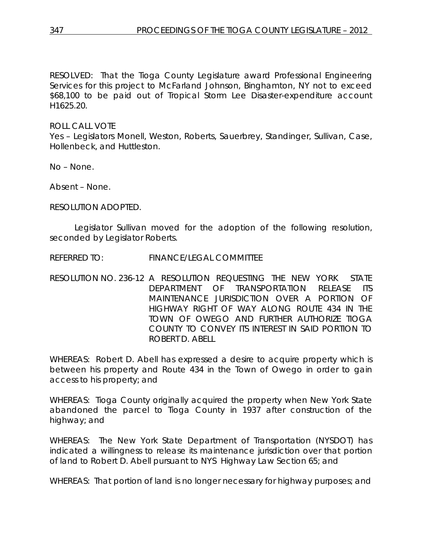RESOLVED: That the Tioga County Legislature award Professional Engineering Services for this project to McFarland Johnson, Binghamton, NY not to exceed \$68,100 to be paid out of Tropical Storm Lee Disaster-expenditure account H1625.20.

# ROLL CALL VOTE

Yes – Legislators Monell, Weston, Roberts, Sauerbrey, Standinger, Sullivan, Case, Hollenbeck, and Huttleston.

No – None.

Absent – None.

RESOLUTION ADOPTED.

Legislator Sullivan moved for the adoption of the following resolution, seconded by Legislator Roberts.

REFERRED TO: FINANCE/LEGAL COMMITTEE

RESOLUTION NO. 236-12 *A RESOLUTION REQUESTING THE NEW YORK STATE DEPARTMENT OF TRANSPORTATION RELEASE ITS MAINTENANCE JURISDICTION OVER A PORTION OF HIGHWAY RIGHT OF WAY ALONG ROUTE 434 IN THE TOWN OF OWEGO AND FURTHER AUTHORIZE TIOGA COUNTY TO CONVEY ITS INTEREST IN SAID PORTION TO ROBERT D. ABELL*

WHEREAS: Robert D. Abell has expressed a desire to acquire property which is between his property and Route 434 in the Town of Owego in order to gain access to his property; and

WHEREAS: Tioga County originally acquired the property when New York State abandoned the parcel to Tioga County in 1937 after construction of the highway; and

WHEREAS: The New York State Department of Transportation (NYSDOT) has indicated a willingness to release its maintenance jurisdiction over that portion of land to Robert D. Abell pursuant to NYS Highway Law Section 65; and

WHEREAS: That portion of land is no longer necessary for highway purposes; and